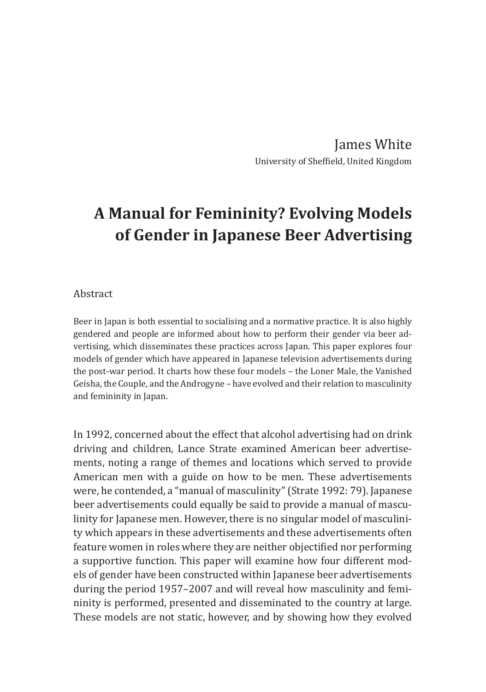James White University of Sheffield, United Kingdom

# **A Manual for Femininity? Evolving Models of Gender in Japanese Beer Advertising**

#### Abstract

Beer in Japan is both essential to socialising and a normative practice. It is also highly gendered and people are informed about how to perform their gender via beer advertising, which disseminates these practices across Japan. This paper explores four models of gender which have appeared in Japanese television advertisements during the post-war period. It charts how these four models – the Loner Male, the Vanished Geisha, the Couple, and the Androgyne – have evolved and their relation to masculinity and femininity in Japan.

In 1992, concerned about the effect that alcohol advertising had on drink driving and children, Lance Strate examined American beer advertisements, noting a range of themes and locations which served to provide American men with a guide on how to be men. These advertisements were, he contended, a "manual of masculinity" (Strate 1992: 79). Japanese beer advertisements could equally be said to provide a manual of masculinity for Japanese men. However, there is no singular model of masculinity which appears in these advertisements and these advertisements often feature women in roles where they are neither objectified nor performing a supportive function. This paper will examine how four different models of gender have been constructed within Japanese beer advertisements during the period 1957–2007 and will reveal how masculinity and femininity is performed, presented and disseminated to the country at large. These models are not static, however, and by showing how they evolved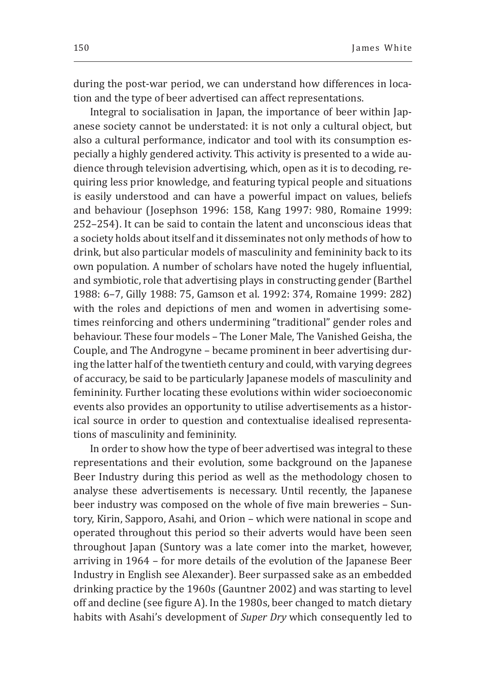during the post-war period, we can understand how differences in location and the type of beer advertised can affect representations.

Integral to socialisation in Japan, the importance of beer within Japanese society cannot be understated: it is not only a cultural object, but also a cultural performance, indicator and tool with its consumption especially a highly gendered activity. This activity is presented to a wide audience through television advertising, which, open as it is to decoding, requiring less prior knowledge, and featuring typical people and situations is easily understood and can have a powerful impact on values, beliefs and behaviour (Josephson 1996: 158, Kang 1997: 980, Romaine 1999: 252–254). It can be said to contain the latent and unconscious ideas that a society holds about itself and it disseminates not only methods of how to drink, but also particular models of masculinity and femininity back to its own population. A number of scholars have noted the hugely influential, and symbiotic, role that advertising plays in constructing gender (Barthel 1988: 6–7, Gilly 1988: 75, Gamson et al. 1992: 374, Romaine 1999: 282) with the roles and depictions of men and women in advertising sometimes reinforcing and others undermining "traditional" gender roles and behaviour. These four models – The Loner Male, The Vanished Geisha, the Couple, and The Androgyne – became prominent in beer advertising during the latter half of the twentieth century and could, with varying degrees of accuracy, be said to be particularly Japanese models of masculinity and femininity. Further locating these evolutions within wider socioeconomic events also provides an opportunity to utilise advertisements as a historical source in order to question and contextualise idealised representations of masculinity and femininity.

In order to show how the type of beer advertised was integral to these representations and their evolution, some background on the Japanese Beer Industry during this period as well as the methodology chosen to analyse these advertisements is necessary. Until recently, the Japanese beer industry was composed on the whole of five main breweries – Suntory, Kirin, Sapporo, Asahi, and Orion – which were national in scope and operated throughout this period so their adverts would have been seen throughout Japan (Suntory was a late comer into the market, however, arriving in 1964 – for more details of the evolution of the Japanese Beer Industry in English see Alexander). Beer surpassed sake as an embedded drinking practice by the 1960s (Gauntner 2002) and was starting to level off and decline (see figure A). In the 1980s, beer changed to match dietary habits with Asahi's development of *Super Dry* which consequently led to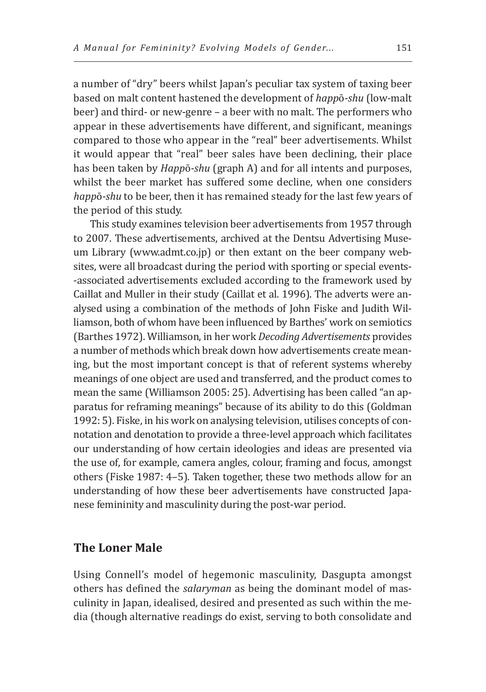a number of "dry" beers whilst Japan's peculiar tax system of taxing beer based on malt content hastened the development of *happ*ō*-shu* (low-malt beer) and third- or new-genre – a beer with no malt. The performers who appear in these advertisements have different, and significant, meanings compared to those who appear in the "real" beer advertisements. Whilst it would appear that "real" beer sales have been declining, their place has been taken by *Happ*ō*-shu* (graph A) and for all intents and purposes, whilst the beer market has suffered some decline, when one considers *happ*ō*-shu* to be beer, then it has remained steady for the last few years of the period of this study.

This study examines television beer advertisements from 1957 through to 2007. These advertisements, archived at the Dentsu Advertising Museum Library (www.admt.co.jp) or then extant on the beer company websites, were all broadcast during the period with sporting or special events- -associated advertisements excluded according to the framework used by Caillat and Muller in their study (Caillat et al. 1996). The adverts were analysed using a combination of the methods of John Fiske and Judith Williamson, both of whom have been influenced by Barthes' work on semiotics (Barthes 1972). Williamson, in her work *Decoding Advertisements* provides a number of methods which break down how advertisements create meaning, but the most important concept is that of referent systems whereby meanings of one object are used and transferred, and the product comes to mean the same (Williamson 2005: 25). Advertising has been called "an apparatus for reframing meanings" because of its ability to do this (Goldman 1992: 5). Fiske, in his work on analysing television, utilises concepts of connotation and denotation to provide a three-level approach which facilitates our understanding of how certain ideologies and ideas are presented via the use of, for example, camera angles, colour, framing and focus, amongst others (Fiske 1987: 4–5). Taken together, these two methods allow for an understanding of how these beer advertisements have constructed Japanese femininity and masculinity during the post-war period.

## **The Loner Male**

Using Connell's model of hegemonic masculinity, Dasgupta amongst others has defined the *salaryman* as being the dominant model of masculinity in Japan, idealised, desired and presented as such within the media (though alternative readings do exist, serving to both consolidate and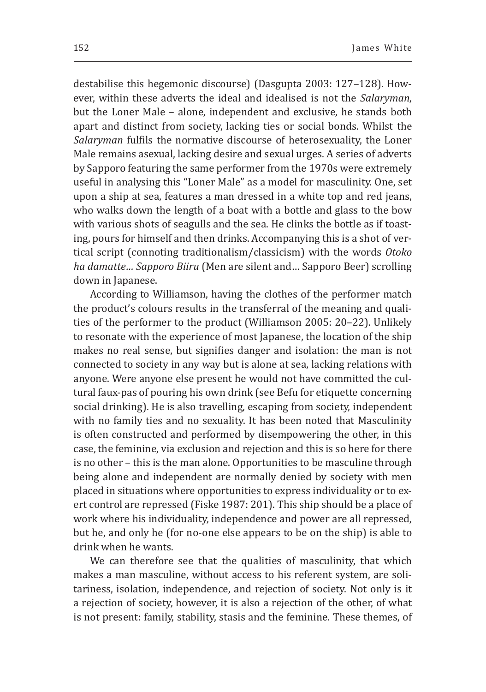destabilise this hegemonic discourse) (Dasgupta 2003: 127–128). However, within these adverts the ideal and idealised is not the *Salaryman*, but the Loner Male – alone, independent and exclusive, he stands both apart and distinct from society, lacking ties or social bonds. Whilst the *Salaryman* fulfils the normative discourse of heterosexuality, the Loner Male remains asexual, lacking desire and sexual urges. A series of adverts by Sapporo featuring the same performer from the 1970s were extremely useful in analysing this "Loner Male" as a model for masculinity. One, set upon a ship at sea, features a man dressed in a white top and red jeans, who walks down the length of a boat with a bottle and glass to the bow with various shots of seagulls and the sea. He clinks the bottle as if toasting, pours for himself and then drinks. Accompanying this is a shot of vertical script (connoting traditionalism/classicism) with the words *Otoko ha damatte… Sapporo Biiru* (Men are silent and… Sapporo Beer) scrolling down in Japanese.

According to Williamson, having the clothes of the performer match the product's colours results in the transferral of the meaning and qualities of the performer to the product (Williamson 2005: 20–22). Unlikely to resonate with the experience of most Japanese, the location of the ship makes no real sense, but signifies danger and isolation: the man is not connected to society in any way but is alone at sea, lacking relations with anyone. Were anyone else present he would not have committed the cultural faux-pas of pouring his own drink (see Befu for etiquette concerning social drinking). He is also travelling, escaping from society, independent with no family ties and no sexuality. It has been noted that Masculinity is often constructed and performed by disempowering the other, in this case, the feminine, via exclusion and rejection and this is so here for there is no other – this is the man alone. Opportunities to be masculine through being alone and independent are normally denied by society with men placed in situations where opportunities to express individuality or to exert control are repressed (Fiske 1987: 201). This ship should be a place of work where his individuality, independence and power are all repressed, but he, and only he (for no-one else appears to be on the ship) is able to drink when he wants.

We can therefore see that the qualities of masculinity, that which makes a man masculine, without access to his referent system, are solitariness, isolation, independence, and rejection of society. Not only is it a rejection of society, however, it is also a rejection of the other, of what is not present: family, stability, stasis and the feminine. These themes, of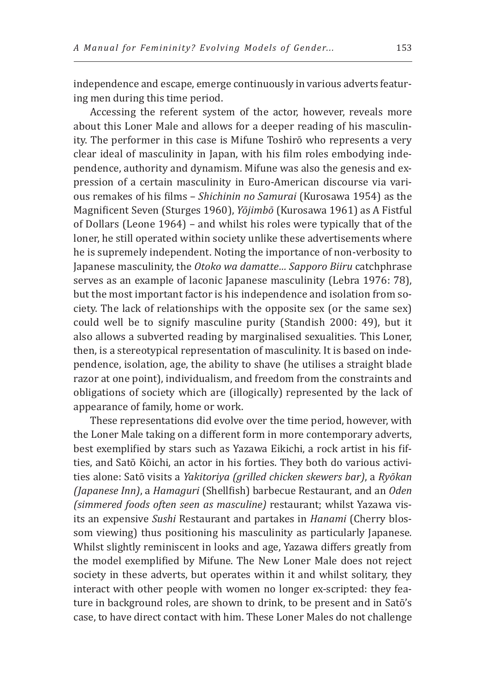independence and escape, emerge continuously in various adverts featuring men during this time period.

Accessing the referent system of the actor, however, reveals more about this Loner Male and allows for a deeper reading of his masculinity. The performer in this case is Mifune Toshirō who represents a very clear ideal of masculinity in Japan, with his film roles embodying independence, authority and dynamism. Mifune was also the genesis and expression of a certain masculinity in Euro-American discourse via various remakes of his films – *Shichinin no Samurai* (Kurosawa 1954) as the Magnificent Seven (Sturges 1960), *Yōjimbō* (Kurosawa 1961) as A Fistful of Dollars (Leone 1964) – and whilst his roles were typically that of the loner, he still operated within society unlike these advertisements where he is supremely independent. Noting the importance of non-verbosity to Japanese masculinity, the *Otoko wa damatte… Sapporo Biiru* catchphrase serves as an example of laconic Japanese masculinity (Lebra 1976: 78), but the most important factor is his independence and isolation from society. The lack of relationships with the opposite sex (or the same sex) could well be to signify masculine purity (Standish 2000: 49), but it also allows a subverted reading by marginalised sexualities. This Loner, then, is a stereotypical representation of masculinity. It is based on independence, isolation, age, the ability to shave (he utilises a straight blade razor at one point), individualism, and freedom from the constraints and obligations of society which are (illogically) represented by the lack of appearance of family, home or work.

These representations did evolve over the time period, however, with the Loner Male taking on a different form in more contemporary adverts, best exemplified by stars such as Yazawa Eikichi, a rock artist in his fifties, and Satō Kōichi, an actor in his forties. They both do various activities alone: Satō visits a *Yakitoriya (grilled chicken skewers bar)*, a *Ryōkan (Japanese Inn)*, a *Hamaguri* (Shellfish) barbecue Restaurant, and an *Oden (simmered foods often seen as masculine)* restaurant; whilst Yazawa visits an expensive *Sushi* Restaurant and partakes in *Hanami* (Cherry blossom viewing) thus positioning his masculinity as particularly Japanese*.*  Whilst slightly reminiscent in looks and age, Yazawa differs greatly from the model exemplified by Mifune. The New Loner Male does not reject society in these adverts, but operates within it and whilst solitary, they interact with other people with women no longer ex-scripted: they feature in background roles, are shown to drink, to be present and in Satō's case, to have direct contact with him. These Loner Males do not challenge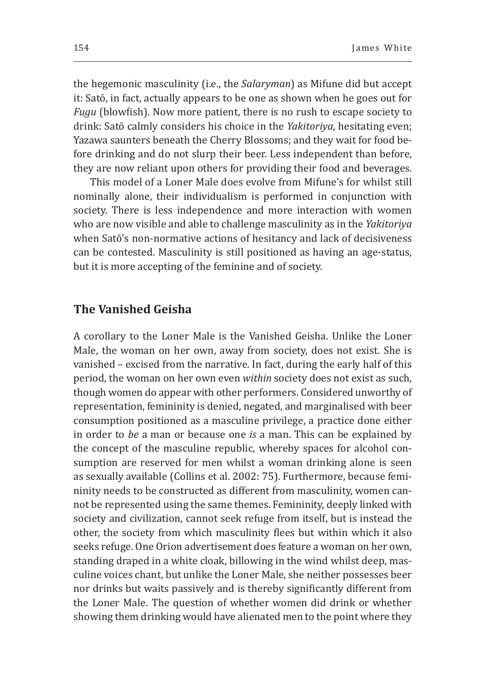the hegemonic masculinity (i.e., the *Salaryman*) as Mifune did but accept it: Satō, in fact, actually appears to be one as shown when he goes out for *Fugu* (blowfish). Now more patient, there is no rush to escape society to drink: Satō calmly considers his choice in the *Yakitoriya*, hesitating even; Yazawa saunters beneath the Cherry Blossoms; and they wait for food before drinking and do not slurp their beer. Less independent than before, they are now reliant upon others for providing their food and beverages.

This model of a Loner Male does evolve from Mifune's for whilst still nominally alone, their individualism is performed in conjunction with society. There is less independence and more interaction with women who are now visible and able to challenge masculinity as in the *Yakitoriya* when Satō's non-normative actions of hesitancy and lack of decisiveness can be contested. Masculinity is still positioned as having an age-status, but it is more accepting of the feminine and of society.

## **The Vanished Geisha**

A corollary to the Loner Male is the Vanished Geisha. Unlike the Loner Male, the woman on her own, away from society, does not exist. She is vanished – excised from the narrative. In fact, during the early half of this period, the woman on her own even *within* society does not exist as such, though women do appear with other performers. Considered unworthy of representation, femininity is denied, negated, and marginalised with beer consumption positioned as a masculine privilege, a practice done either in order to *be* a man or because one *is* a man. This can be explained by the concept of the masculine republic, whereby spaces for alcohol consumption are reserved for men whilst a woman drinking alone is seen as sexually available (Collins et al. 2002: 75). Furthermore, because femininity needs to be constructed as different from masculinity, women cannot be represented using the same themes. Femininity, deeply linked with society and civilization, cannot seek refuge from itself, but is instead the other, the society from which masculinity flees but within which it also seeks refuge. One Orion advertisement does feature a woman on her own, standing draped in a white cloak, billowing in the wind whilst deep, masculine voices chant, but unlike the Loner Male, she neither possesses beer nor drinks but waits passively and is thereby significantly different from the Loner Male. The question of whether women did drink or whether showing them drinking would have alienated men to the point where they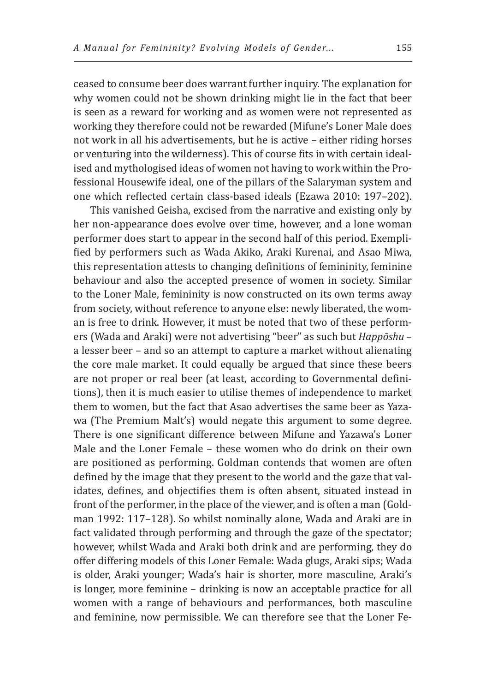ceased to consume beer does warrant further inquiry. The explanation for why women could not be shown drinking might lie in the fact that beer is seen as a reward for working and as women were not represented as working they therefore could not be rewarded (Mifune's Loner Male does not work in all his advertisements, but he is active – either riding horses or venturing into the wilderness). This of course fits in with certain idealised and mythologised ideas of women not having to work within the Professional Housewife ideal, one of the pillars of the Salaryman system and one which reflected certain class-based ideals (Ezawa 2010: 197–202).

This vanished Geisha, excised from the narrative and existing only by her non-appearance does evolve over time, however, and a lone woman performer does start to appear in the second half of this period. Exemplified by performers such as Wada Akiko, Araki Kurenai, and Asao Miwa, this representation attests to changing definitions of femininity, feminine behaviour and also the accepted presence of women in society. Similar to the Loner Male, femininity is now constructed on its own terms away from society, without reference to anyone else: newly liberated, the woman is free to drink. However, it must be noted that two of these performers (Wada and Araki) were not advertising "beer" as such but *Happōshu* – a lesser beer – and so an attempt to capture a market without alienating the core male market. It could equally be argued that since these beers are not proper or real beer (at least, according to Governmental definitions), then it is much easier to utilise themes of independence to market them to women, but the fact that Asao advertises the same beer as Yazawa (The Premium Malt's) would negate this argument to some degree. There is one significant difference between Mifune and Yazawa's Loner Male and the Loner Female – these women who do drink on their own are positioned as performing. Goldman contends that women are often defined by the image that they present to the world and the gaze that validates, defines, and objectifies them is often absent, situated instead in front of the performer, in the place of the viewer, and is often a man (Goldman 1992: 117–128). So whilst nominally alone, Wada and Araki are in fact validated through performing and through the gaze of the spectator; however, whilst Wada and Araki both drink and are performing, they do offer differing models of this Loner Female: Wada glugs, Araki sips; Wada is older, Araki younger; Wada's hair is shorter, more masculine, Araki's is longer, more feminine – drinking is now an acceptable practice for all women with a range of behaviours and performances, both masculine and feminine, now permissible. We can therefore see that the Loner Fe-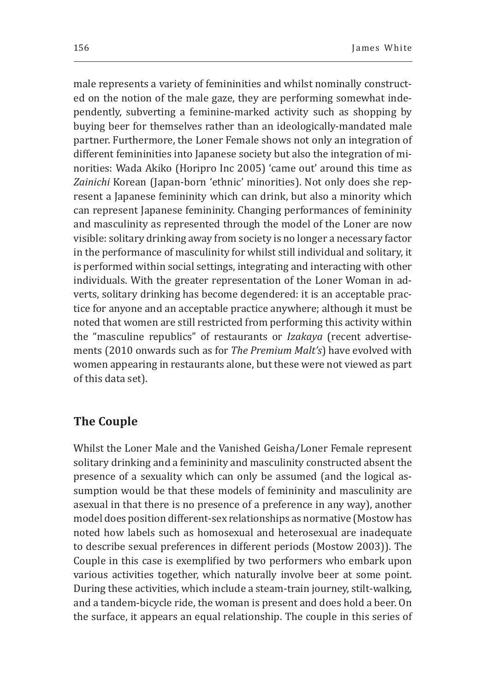male represents a variety of femininities and whilst nominally constructed on the notion of the male gaze, they are performing somewhat independently, subverting a feminine-marked activity such as shopping by buying beer for themselves rather than an ideologically-mandated male partner. Furthermore, the Loner Female shows not only an integration of different femininities into Japanese society but also the integration of minorities: Wada Akiko (Horipro Inc 2005) 'came out' around this time as *Zainichi* Korean (Japan-born 'ethnic' minorities). Not only does she represent a Japanese femininity which can drink, but also a minority which can represent Japanese femininity. Changing performances of femininity and masculinity as represented through the model of the Loner are now visible: solitary drinking away from society is no longer a necessary factor in the performance of masculinity for whilst still individual and solitary, it is performed within social settings, integrating and interacting with other individuals. With the greater representation of the Loner Woman in adverts, solitary drinking has become degendered: it is an acceptable practice for anyone and an acceptable practice anywhere; although it must be noted that women are still restricted from performing this activity within the "masculine republics" of restaurants or *Izakaya* (recent advertisements (2010 onwards such as for *The Premium Malt's*) have evolved with women appearing in restaurants alone, but these were not viewed as part of this data set).

## **The Couple**

Whilst the Loner Male and the Vanished Geisha/Loner Female represent solitary drinking and a femininity and masculinity constructed absent the presence of a sexuality which can only be assumed (and the logical assumption would be that these models of femininity and masculinity are asexual in that there is no presence of a preference in any way), another model does position different-sex relationships as normative (Mostow has noted how labels such as homosexual and heterosexual are inadequate to describe sexual preferences in different periods (Mostow 2003)). The Couple in this case is exemplified by two performers who embark upon various activities together, which naturally involve beer at some point. During these activities, which include a steam-train journey, stilt-walking, and a tandem-bicycle ride, the woman is present and does hold a beer. On the surface, it appears an equal relationship. The couple in this series of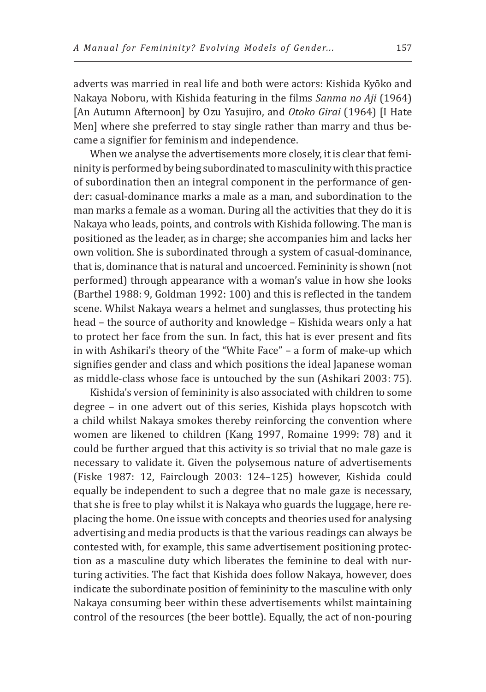adverts was married in real life and both were actors: Kishida Kyōko and Nakaya Noboru, with Kishida featuring in the films *Sanma no Aji* (1964) [An Autumn Afternoon] by Ozu Yasujiro, and *Otoko Girai* (1964) [I Hate Men] where she preferred to stay single rather than marry and thus became a signifier for feminism and independence.

When we analyse the advertisements more closely, it is clear that femininity is performed by being subordinated to masculinity with this practice of subordination then an integral component in the performance of gender: casual-dominance marks a male as a man, and subordination to the man marks a female as a woman. During all the activities that they do it is Nakaya who leads, points, and controls with Kishida following. The man is positioned as the leader, as in charge; she accompanies him and lacks her own volition. She is subordinated through a system of casual-dominance, that is, dominance that is natural and uncoerced. Femininity is shown (not performed) through appearance with a woman's value in how she looks (Barthel 1988: 9, Goldman 1992: 100) and this is reflected in the tandem scene. Whilst Nakaya wears a helmet and sunglasses, thus protecting his head – the source of authority and knowledge – Kishida wears only a hat to protect her face from the sun. In fact, this hat is ever present and fits in with Ashikari's theory of the "White Face" – a form of make-up which signifies gender and class and which positions the ideal Japanese woman as middle-class whose face is untouched by the sun (Ashikari 2003: 75).

Kishida's version of femininity is also associated with children to some degree – in one advert out of this series, Kishida plays hopscotch with a child whilst Nakaya smokes thereby reinforcing the convention where women are likened to children (Kang 1997, Romaine 1999: 78) and it could be further argued that this activity is so trivial that no male gaze is necessary to validate it. Given the polysemous nature of advertisements (Fiske 1987: 12, Fairclough 2003: 124–125) however, Kishida could equally be independent to such a degree that no male gaze is necessary, that she is free to play whilst it is Nakaya who guards the luggage, here replacing the home. One issue with concepts and theories used for analysing advertising and media products is that the various readings can always be contested with, for example, this same advertisement positioning protection as a masculine duty which liberates the feminine to deal with nurturing activities. The fact that Kishida does follow Nakaya, however, does indicate the subordinate position of femininity to the masculine with only Nakaya consuming beer within these advertisements whilst maintaining control of the resources (the beer bottle). Equally, the act of non-pouring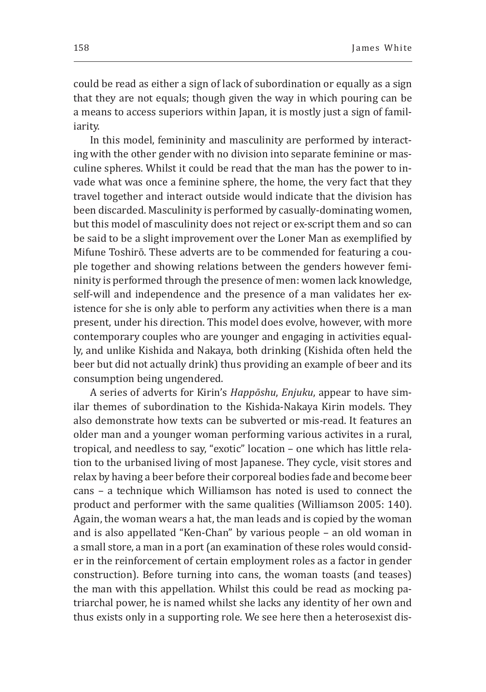could be read as either a sign of lack of subordination or equally as a sign that they are not equals; though given the way in which pouring can be a means to access superiors within Japan, it is mostly just a sign of familiarity.

In this model, femininity and masculinity are performed by interacting with the other gender with no division into separate feminine or masculine spheres. Whilst it could be read that the man has the power to invade what was once a feminine sphere, the home, the very fact that they travel together and interact outside would indicate that the division has been discarded. Masculinity is performed by casually-dominating women, but this model of masculinity does not reject or ex-script them and so can be said to be a slight improvement over the Loner Man as exemplified by Mifune Toshirō. These adverts are to be commended for featuring a couple together and showing relations between the genders however femininity is performed through the presence of men: women lack knowledge, self-will and independence and the presence of a man validates her existence for she is only able to perform any activities when there is a man present, under his direction. This model does evolve, however, with more contemporary couples who are younger and engaging in activities equally, and unlike Kishida and Nakaya, both drinking (Kishida often held the beer but did not actually drink) thus providing an example of beer and its consumption being ungendered.

A series of adverts for Kirin's *Happōshu*, *Enjuku*, appear to have similar themes of subordination to the Kishida-Nakaya Kirin models. They also demonstrate how texts can be subverted or mis-read. It features an older man and a younger woman performing various activites in a rural, tropical, and needless to say, "exotic" location – one which has little relation to the urbanised living of most Japanese. They cycle, visit stores and relax by having a beer before their corporeal bodies fade and become beer cans – a technique which Williamson has noted is used to connect the product and performer with the same qualities (Williamson 2005: 140). Again, the woman wears a hat, the man leads and is copied by the woman and is also appellated "Ken-Chan" by various people – an old woman in a small store, a man in a port (an examination of these roles would consider in the reinforcement of certain employment roles as a factor in gender construction). Before turning into cans, the woman toasts (and teases) the man with this appellation. Whilst this could be read as mocking patriarchal power, he is named whilst she lacks any identity of her own and thus exists only in a supporting role. We see here then a heterosexist dis-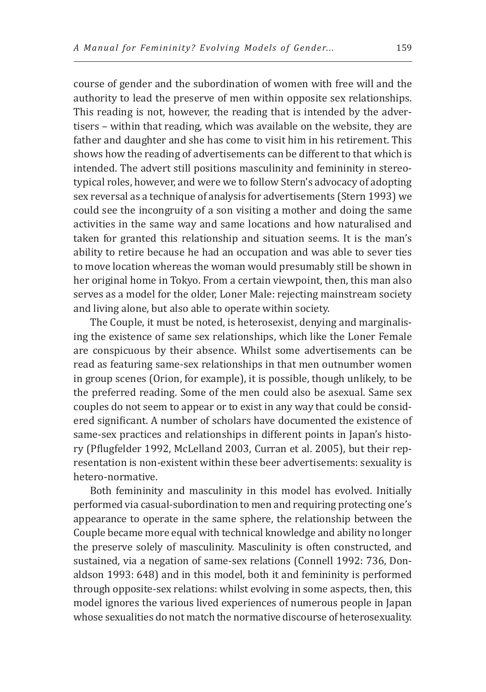course of gender and the subordination of women with free will and the authority to lead the preserve of men within opposite sex relationships. This reading is not, however, the reading that is intended by the advertisers – within that reading, which was available on the website, they are father and daughter and she has come to visit him in his retirement. This shows how the reading of advertisements can be different to that which is intended. The advert still positions masculinity and femininity in stereotypical roles, however, and were we to follow Stern's advocacy of adopting sex reversal as a technique of analysis for advertisements (Stern 1993) we could see the incongruity of a son visiting a mother and doing the same activities in the same way and same locations and how naturalised and taken for granted this relationship and situation seems. It is the man's ability to retire because he had an occupation and was able to sever ties to move location whereas the woman would presumably still be shown in her original home in Tokyo. From a certain viewpoint, then, this man also serves as a model for the older, Loner Male: rejecting mainstream society and living alone, but also able to operate within society.

The Couple, it must be noted, is heterosexist, denying and marginalising the existence of same sex relationships, which like the Loner Female are conspicuous by their absence. Whilst some advertisements can be read as featuring same-sex relationships in that men outnumber women in group scenes (Orion, for example), it is possible, though unlikely, to be the preferred reading. Some of the men could also be asexual. Same sex couples do not seem to appear or to exist in any way that could be considered significant. A number of scholars have documented the existence of same-sex practices and relationships in different points in Japan's history (Pflugfelder 1992, McLelland 2003, Curran et al. 2005), but their representation is non-existent within these beer advertisements: sexuality is hetero-normative.

Both femininity and masculinity in this model has evolved. Initially performed via casual-subordination to men and requiring protecting one's appearance to operate in the same sphere, the relationship between the Couple became more equal with technical knowledge and ability no longer the preserve solely of masculinity. Masculinity is often constructed, and sustained, via a negation of same-sex relations (Connell 1992: 736, Donaldson 1993: 648) and in this model, both it and femininity is performed through opposite-sex relations: whilst evolving in some aspects, then, this model ignores the various lived experiences of numerous people in Japan whose sexualities do not match the normative discourse of heterosexuality.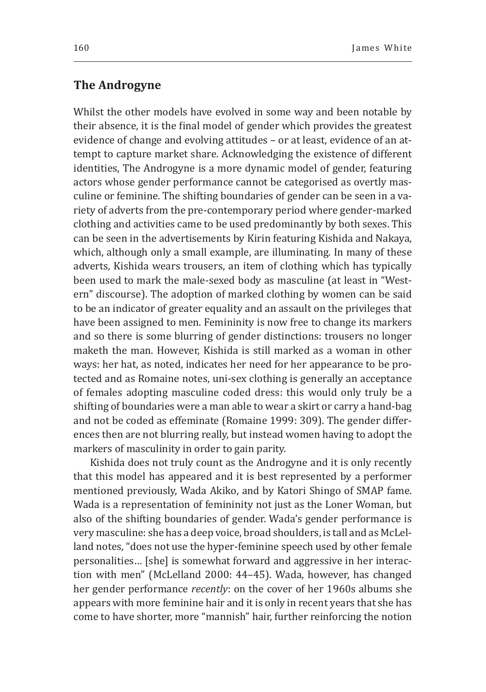## **The Androgyne**

Whilst the other models have evolved in some way and been notable by their absence, it is the final model of gender which provides the greatest evidence of change and evolving attitudes – or at least, evidence of an attempt to capture market share. Acknowledging the existence of different identities, The Androgyne is a more dynamic model of gender, featuring actors whose gender performance cannot be categorised as overtly masculine or feminine. The shifting boundaries of gender can be seen in a variety of adverts from the pre-contemporary period where gender-marked clothing and activities came to be used predominantly by both sexes. This can be seen in the advertisements by Kirin featuring Kishida and Nakaya, which, although only a small example, are illuminating. In many of these adverts, Kishida wears trousers, an item of clothing which has typically been used to mark the male-sexed body as masculine (at least in "Western" discourse). The adoption of marked clothing by women can be said to be an indicator of greater equality and an assault on the privileges that have been assigned to men. Femininity is now free to change its markers and so there is some blurring of gender distinctions: trousers no longer maketh the man. However, Kishida is still marked as a woman in other ways: her hat, as noted, indicates her need for her appearance to be protected and as Romaine notes, uni-sex clothing is generally an acceptance of females adopting masculine coded dress: this would only truly be a shifting of boundaries were a man able to wear a skirt or carry a hand-bag and not be coded as effeminate (Romaine 1999: 309). The gender differences then are not blurring really, but instead women having to adopt the markers of masculinity in order to gain parity.

Kishida does not truly count as the Androgyne and it is only recently that this model has appeared and it is best represented by a performer mentioned previously, Wada Akiko, and by Katori Shingo of SMAP fame. Wada is a representation of femininity not just as the Loner Woman, but also of the shifting boundaries of gender. Wada's gender performance is very masculine: she has a deep voice, broad shoulders, is tall and as McLelland notes, "does not use the hyper-feminine speech used by other female personalities… [she] is somewhat forward and aggressive in her interaction with men" (McLelland 2000: 44–45). Wada, however, has changed her gender performance *recently*: on the cover of her 1960s albums she appears with more feminine hair and it is only in recent years that she has come to have shorter, more "mannish" hair, further reinforcing the notion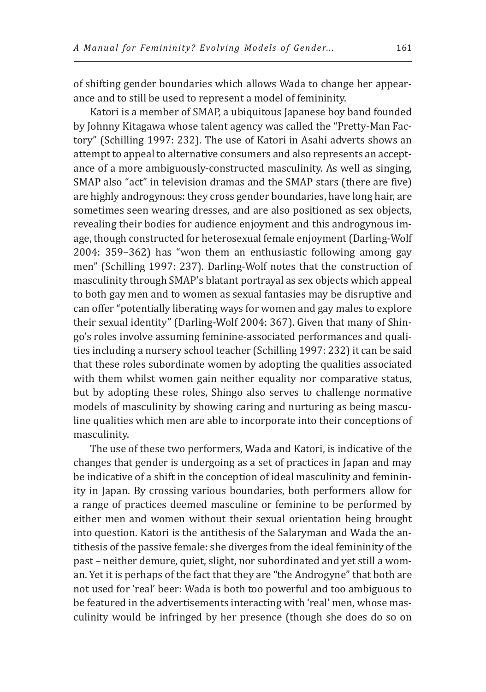of shifting gender boundaries which allows Wada to change her appearance and to still be used to represent a model of femininity.

Katori is a member of SMAP, a ubiquitous Japanese boy band founded by Johnny Kitagawa whose talent agency was called the "Pretty-Man Factory" (Schilling 1997: 232). The use of Katori in Asahi adverts shows an attempt to appeal to alternative consumers and also represents an acceptance of a more ambiguously-constructed masculinity. As well as singing, SMAP also "act" in television dramas and the SMAP stars (there are five) are highly androgynous: they cross gender boundaries, have long hair, are sometimes seen wearing dresses, and are also positioned as sex objects, revealing their bodies for audience enjoyment and this androgynous image, though constructed for heterosexual female enjoyment (Darling-Wolf 2004: 359–362) has "won them an enthusiastic following among gay men" (Schilling 1997: 237). Darling-Wolf notes that the construction of masculinity through SMAP's blatant portrayal as sex objects which appeal to both gay men and to women as sexual fantasies may be disruptive and can offer "potentially liberating ways for women and gay males to explore their sexual identity" (Darling-Wolf 2004: 367). Given that many of Shingo's roles involve assuming feminine-associated performances and qualities including a nursery school teacher (Schilling 1997: 232) it can be said that these roles subordinate women by adopting the qualities associated with them whilst women gain neither equality nor comparative status, but by adopting these roles, Shingo also serves to challenge normative models of masculinity by showing caring and nurturing as being masculine qualities which men are able to incorporate into their conceptions of masculinity.

The use of these two performers, Wada and Katori, is indicative of the changes that gender is undergoing as a set of practices in Japan and may be indicative of a shift in the conception of ideal masculinity and femininity in Japan. By crossing various boundaries, both performers allow for a range of practices deemed masculine or feminine to be performed by either men and women without their sexual orientation being brought into question. Katori is the antithesis of the Salaryman and Wada the antithesis of the passive female: she diverges from the ideal femininity of the past – neither demure, quiet, slight, nor subordinated and yet still a woman. Yet it is perhaps of the fact that they are "the Androgyne" that both are not used for 'real' beer: Wada is both too powerful and too ambiguous to be featured in the advertisements interacting with 'real' men, whose masculinity would be infringed by her presence (though she does do so on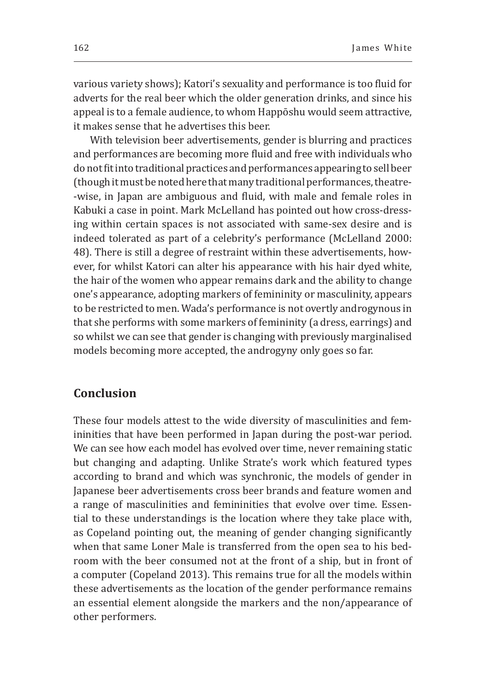various variety shows); Katori's sexuality and performance is too fluid for adverts for the real beer which the older generation drinks, and since his appeal is to a female audience, to whom Happōshu would seem attractive, it makes sense that he advertises this beer.

With television beer advertisements, gender is blurring and practices and performances are becoming more fluid and free with individuals who do not fit into traditional practices and performances appearing to sell beer (though it must be noted here that many traditional performances, theatre- -wise, in Japan are ambiguous and fluid, with male and female roles in Kabuki a case in point. Mark McLelland has pointed out how cross-dressing within certain spaces is not associated with same-sex desire and is indeed tolerated as part of a celebrity's performance (McLelland 2000: 48). There is still a degree of restraint within these advertisements, however, for whilst Katori can alter his appearance with his hair dyed white, the hair of the women who appear remains dark and the ability to change one's appearance, adopting markers of femininity or masculinity, appears to be restricted to men. Wada's performance is not overtly androgynous in that she performs with some markers of femininity (a dress, earrings) and so whilst we can see that gender is changing with previously marginalised models becoming more accepted, the androgyny only goes so far.

## **Conclusion**

These four models attest to the wide diversity of masculinities and femininities that have been performed in Japan during the post-war period. We can see how each model has evolved over time, never remaining static but changing and adapting. Unlike Strate's work which featured types according to brand and which was synchronic, the models of gender in Japanese beer advertisements cross beer brands and feature women and a range of masculinities and femininities that evolve over time. Essential to these understandings is the location where they take place with, as Copeland pointing out, the meaning of gender changing significantly when that same Loner Male is transferred from the open sea to his bedroom with the beer consumed not at the front of a ship, but in front of a computer (Copeland 2013). This remains true for all the models within these advertisements as the location of the gender performance remains an essential element alongside the markers and the non/appearance of other performers.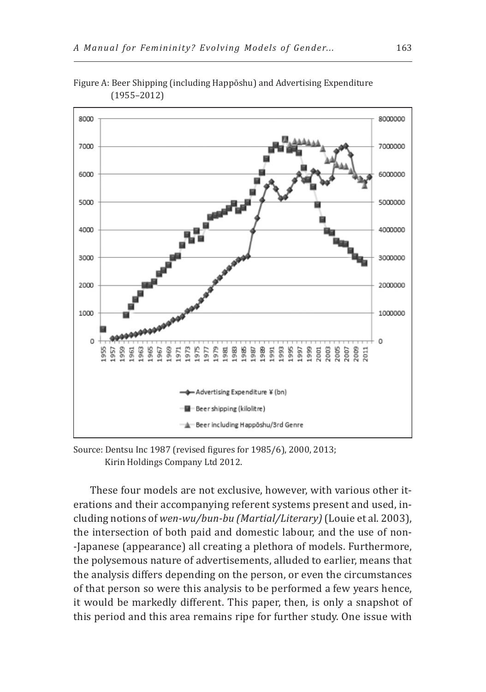

Figure A: Beer Shipping (including Happōshu) and Advertising Expenditure (1955–2012)

Source: Dentsu Inc 1987 (revised figures for 1985/6), 2000, 2013; Kirin Holdings Company Ltd 2012.

These four models are not exclusive, however, with various other iterations and their accompanying referent systems present and used, including notions of *wen-wu/bun-bu (Martial/Literary)* (Louie et al. 2003), the intersection of both paid and domestic labour, and the use of non- -Japanese (appearance) all creating a plethora of models. Furthermore, the polysemous nature of advertisements, alluded to earlier, means that the analysis differs depending on the person, or even the circumstances of that person so were this analysis to be performed a few years hence, it would be markedly different. This paper, then, is only a snapshot of this period and this area remains ripe for further study. One issue with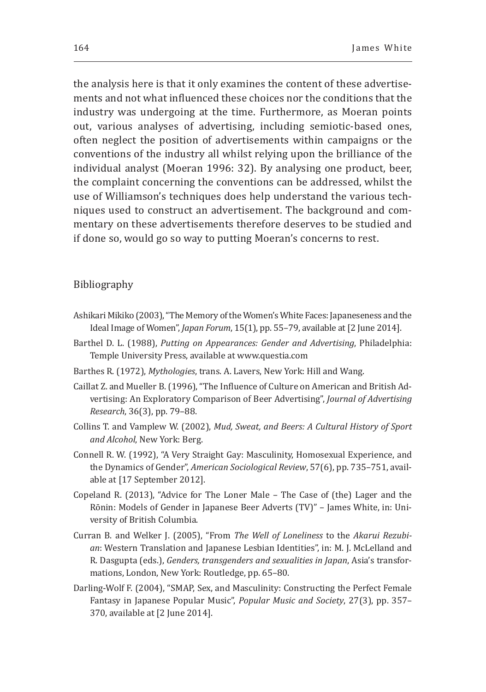the analysis here is that it only examines the content of these advertisements and not what influenced these choices nor the conditions that the industry was undergoing at the time. Furthermore, as Moeran points out, various analyses of advertising, including semiotic-based ones, often neglect the position of advertisements within campaigns or the conventions of the industry all whilst relying upon the brilliance of the individual analyst (Moeran 1996: 32). By analysing one product, beer, the complaint concerning the conventions can be addressed, whilst the use of Williamson's techniques does help understand the various techniques used to construct an advertisement. The background and commentary on these advertisements therefore deserves to be studied and if done so, would go so way to putting Moeran's concerns to rest.

#### Bibliography

- Ashikari Mikiko (2003), "The Memory of the Women's White Faces: Japaneseness and the Ideal Image of Women", *Japan Forum*, 15(1), pp. 55–79, available at [2 June 2014].
- Barthel D. L. (1988), *Putting on Appearances: Gender and Advertising*, Philadelphia: Temple University Press, available at www.questia.com
- Barthes R. (1972), *Mythologies*, trans. A. Lavers, New York: Hill and Wang.
- Caillat Z. and Mueller B. (1996), "The Influence of Culture on American and British Advertising: An Exploratory Comparison of Beer Advertising", *Journal of Advertising Research*, 36(3), pp. 79–88.
- Collins T. and Vamplew W. (2002), *Mud, Sweat, and Beers: A Cultural History of Sport and Alcohol*, New York: Berg.
- Connell R. W. (1992), "A Very Straight Gay: Masculinity, Homosexual Experience, and the Dynamics of Gender", *American Sociological Review*, 57(6), pp. 735–751, available at [17 September 2012].
- Copeland R. (2013), "Advice for The Loner Male The Case of (the) Lager and the Rōnin: Models of Gender in Japanese Beer Adverts (TV)" – James White, in: University of British Columbia.
- Curran B. and Welker J. (2005), "From *The Well of Loneliness* to the *Akarui Rezubian*: Western Translation and Japanese Lesbian Identities", in: M. J. McLelland and R. Dasgupta (eds.), *Genders, transgenders and sexualities in Japan*, Asia's transformations, London, New York: Routledge, pp. 65–80.
- Darling-Wolf F. (2004), "SMAP, Sex, and Masculinity: Constructing the Perfect Female Fantasy in Japanese Popular Music", *Popular Music and Society*, 27(3), pp. 357– 370, available at [2 June 2014].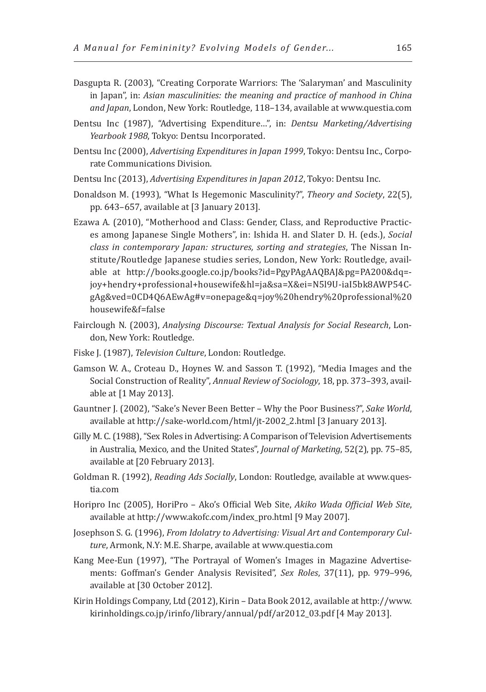- Dasgupta R. (2003), "Creating Corporate Warriors: The 'Salaryman' and Masculinity in Japan", in: *Asian masculinities: the meaning and practice of manhood in China and Japan*, London, New York: Routledge, 118–134, available at www.questia.com
- Dentsu Inc (1987), "Advertising Expenditure…", in: *Dentsu Marketing/Advertising Yearbook 1988*, Tokyo: Dentsu Incorporated.
- Dentsu Inc (2000), *Advertising Expenditures in Japan 1999*, Tokyo: Dentsu Inc., Corporate Communications Division.
- Dentsu Inc (2013), *Advertising Expenditures in Japan 2012*, Tokyo: Dentsu Inc.
- Donaldson M. (1993), "What Is Hegemonic Masculinity?", *Theory and Society*, 22(5), pp. 643–657, available at [3 January 2013].
- Ezawa A. (2010), "Motherhood and Class: Gender, Class, and Reproductive Practices among Japanese Single Mothers", in: Ishida H. and Slater D. H. (eds.), *Social class in contemporary Japan: structures, sorting and strategies*, The Nissan Institute/Routledge Japanese studies series, London, New York: Routledge, available at http://books.google.co.jp/books?id=PgyPAgAAQBAJ&pg=PA200&dq= joy+hendry+professional+housewife&hl=ja&sa=X&ei=N5l9U-iaI5bk8AWP54CgAg&ved=0CD4Q6AEwAg#v=onepage&q=joy%20hendry%20professional%20 housewife&f=false
- Fairclough N. (2003), *Analysing Discourse: Textual Analysis for Social Research*, London, New York: Routledge.
- Fiske J. (1987), *Television Culture*, London: Routledge.
- Gamson W. A., Croteau D., Hoynes W. and Sasson T. (1992), "Media Images and the Social Construction of Reality", *Annual Review of Sociology*, 18, pp. 373–393, available at [1 May 2013].
- Gauntner J. (2002), "Sake's Never Been Better Why the Poor Business?", *Sake World*, available at http://sake-world.com/html/jt-2002\_2.html [3 January 2013].
- Gilly M. C. (1988), "Sex Roles in Advertising: A Comparison of Television Advertisements in Australia, Mexico, and the United States", *Journal of Marketing*, 52(2), pp. 75–85, available at [20 February 2013].
- Goldman R. (1992), *Reading Ads Socially*, London: Routledge, available at www.questia.com
- Horipro Inc (2005), HoriPro Ako's Official Web Site, *Akiko Wada Official Web Site*, available at http://www.akofc.com/index\_pro.html [9 May 2007].
- Josephson S. G. (1996), *From Idolatry to Advertising: Visual Art and Contemporary Culture*, Armonk, N.Y: M.E. Sharpe, available at www.questia.com
- Kang Mee-Eun (1997), "The Portrayal of Women's Images in Magazine Advertisements: Goffman's Gender Analysis Revisited", *Sex Roles*, 37(11), pp. 979–996, available at [30 October 2012].
- Kirin Holdings Company, Ltd (2012), Kirin Data Book 2012, available at http://www. kirinholdings.co.jp/irinfo/library/annual/pdf/ar2012\_03.pdf [4 May 2013].